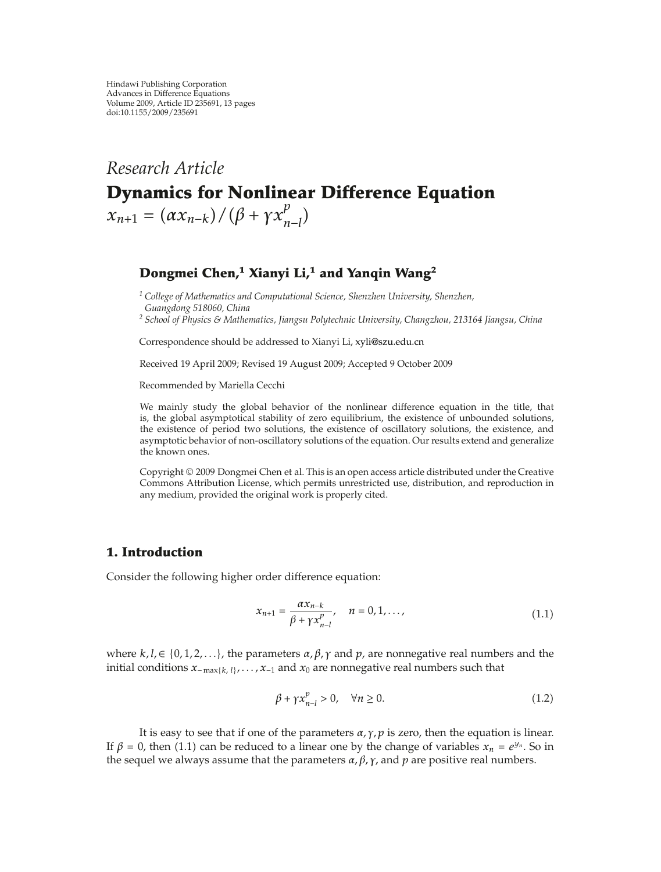# *Research Article* **Dynamics for Nonlinear Difference Equation**  $x_{n+1} = (ax_{n-k})/(β + \gamma x_{n-l}^p)$  $\big)$

# **Dongmei Chen,<sup>1</sup> Xianyi Li,1 and Yanqin Wang2**

*<sup>1</sup> College of Mathematics and Computational Science, Shenzhen University, Shenzhen, Guangdong 518060, China*

*<sup>2</sup> School of Physics & Mathematics, Jiangsu Polytechnic University, Changzhou, 213164 Jiangsu, China*

Correspondence should be addressed to Xianyi Li, xyli@szu.edu.cn

Received 19 April 2009; Revised 19 August 2009; Accepted 9 October 2009

Recommended by Mariella Cecchi

We mainly study the global behavior of the nonlinear difference equation in the title, that is, the global asymptotical stability of zero equilibrium, the existence of unbounded solutions, the existence of period two solutions, the existence of oscillatory solutions, the existence, and asymptotic behavior of non-oscillatory solutions of the equation. Our results extend and generalize the known ones.

Copyright © 2009 Dongmei Chen et al. This is an open access article distributed under the Creative Commons Attribution License, which permits unrestricted use, distribution, and reproduction in any medium, provided the original work is properly cited.

# **1. Introduction**

Consider the following higher order difference equation:

$$
x_{n+1} = \frac{\alpha x_{n-k}}{\beta + \gamma x_{n-l}^p}, \quad n = 0, 1, ..., \tag{1.1}
$$

where  $k, l \in \{0, 1, 2, \ldots\}$ , the parameters  $\alpha, \beta, \gamma$  and  $p$ , are nonnegative real numbers and the initial conditions *<sup>x</sup>*<sup>−</sup> max{*k, l*}*,...,x*<sup>−</sup><sup>1</sup> and *<sup>x</sup>*<sup>0</sup> are nonnegative real numbers such that

$$
\beta + \gamma x_{n-l}^p > 0, \quad \forall n \ge 0. \tag{1.2}
$$

It is easy to see that if one of the parameters  $\alpha$ ,  $\gamma$ ,  $p$  is zero, then the equation is linear. If  $\beta = 0$ , then (1.1) can be reduced to a linear one by the change of variables  $x_n = e^{y_n}$ . So in the sequel we always assume that the parameters  $\alpha$ ,  $\beta$ ,  $\gamma$ , and  $p$  are positive real numbers.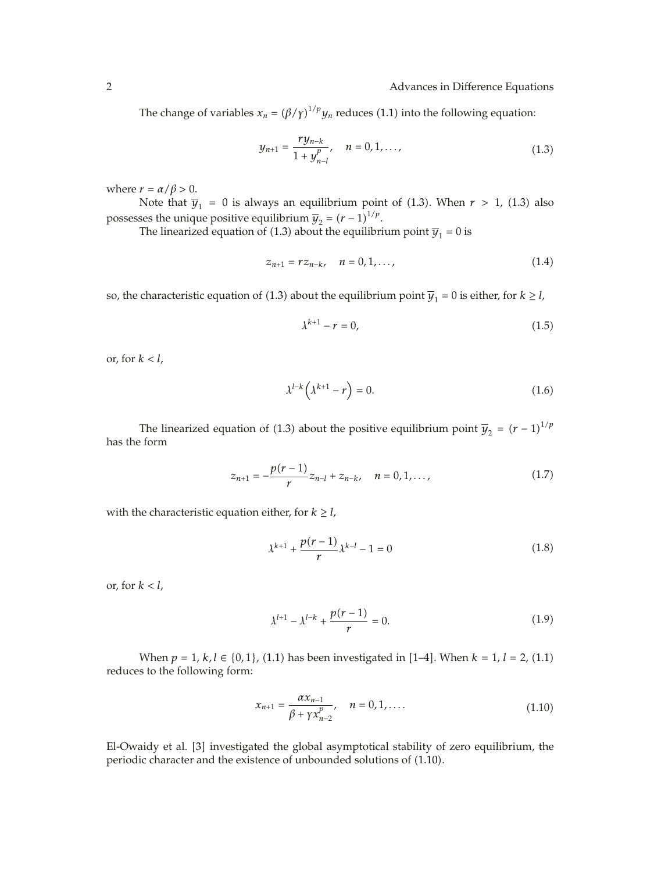The change of variables  $x_n = (\beta/\gamma)^{1/p} y_n$  reduces (1.1) into the following equation:

$$
y_{n+1} = \frac{ry_{n-k}}{1+y_{n-l}^p}, \quad n = 0, 1, ..., \tag{1.3}
$$

where  $r = \alpha/\beta > 0$ .

Note that  $\overline{y}_1 = 0$  is always an equilibrium point of (1.3). When  $r > 1$ , (1.3) also possesses the unique positive equilibrium  $\overline{y}_2 = (r-1)^{1/p}$ .<br>The linearized equation of (1.3) about the equilibri

The linearized equation of (1.3) about the equilibrium point  $\overline{y}_1 = 0$  is

$$
z_{n+1} = rz_{n-k}, \quad n = 0, 1, ..., \tag{1.4}
$$

so, the characteristic equation of (1.3) about the equilibrium point  $\overline{y}_1 = 0$  is either, for  $k \ge l$ ,

$$
\lambda^{k+1} - r = 0,\tag{1.5}
$$

or, for *k < l,*

$$
\lambda^{l-k} \left( \lambda^{k+1} - r \right) = 0. \tag{1.6}
$$

The linearized equation of (1.3) about the positive equilibrium point  $\overline{y}_2 = (r-1)^{1/p}$ has the form

$$
z_{n+1} = -\frac{p(r-1)}{r}z_{n-l} + z_{n-k}, \quad n = 0, 1, ..., \tag{1.7}
$$

with the characteristic equation either, for  $k \geq l$ ,

$$
\lambda^{k+1} + \frac{p(r-1)}{r} \lambda^{k-l} - 1 = 0 \tag{1.8}
$$

or, for *k < l,*

$$
\lambda^{l+1} - \lambda^{l-k} + \frac{p(r-1)}{r} = 0.
$$
 (1.9)

When  $p = 1$ ,  $k, l \in \{0, 1\}$ , (1.1) has been investigated in [1–4]. When  $k = 1$ ,  $l = 2$ , (1.1) reduces to the following form:

$$
x_{n+1} = \frac{\alpha x_{n-1}}{\beta + \gamma x_{n-2}^p}, \quad n = 0, 1, \dots
$$
 (1.10)

El-Owaidy et al. [3] investigated the global asymptotical stability of zero equilibrium, the periodic character and the existence of unbounded solutions of (1.10).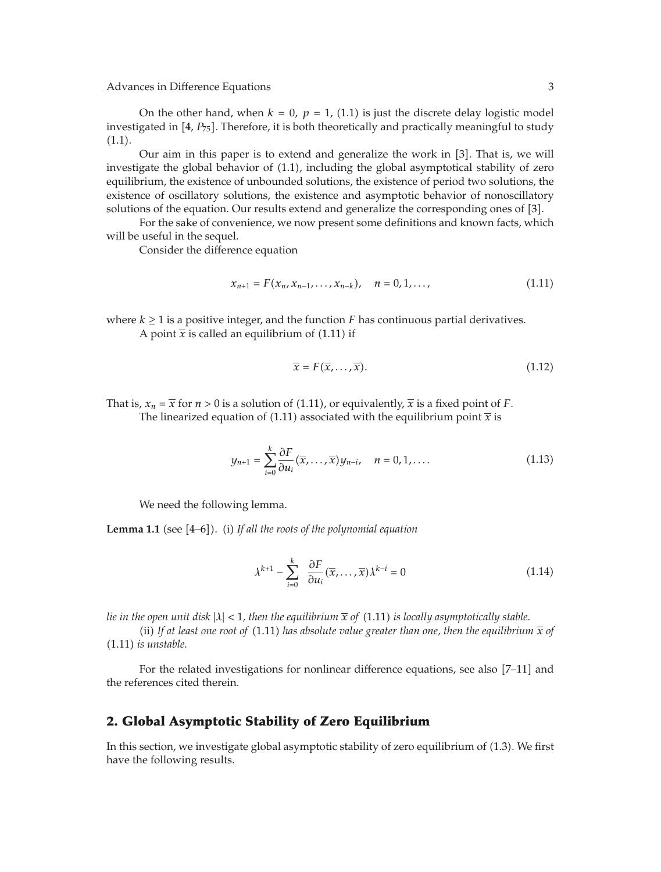On the other hand, when  $k = 0$ ,  $p = 1$ , (1.1) is just the discrete delay logistic model investigated in  $[4, P_{75}]$ . Therefore, it is both theoretically and practically meaningful to study  $(1.1).$ 

Our aim in this paper is to extend and generalize the work in  $[3]$ . That is, we will investigate the global behavior of 1.1, including the global asymptotical stability of zero equilibrium, the existence of unbounded solutions, the existence of period two solutions, the existence of oscillatory solutions, the existence and asymptotic behavior of nonoscillatory solutions of the equation. Our results extend and generalize the corresponding ones of [3].

For the sake of convenience, we now present some definitions and known facts, which will be useful in the sequel.

Consider the difference equation

$$
x_{n+1} = F(x_n, x_{n-1}, \dots, x_{n-k}), \quad n = 0, 1, \dots,
$$
 (1.11)

where  $k \geq 1$  is a positive integer, and the function *F* has continuous partial derivatives.

A point  $\bar{x}$  is called an equilibrium of (1.11) if

$$
\overline{x} = F(\overline{x}, \dots, \overline{x}). \tag{1.12}
$$

That is,  $x_n = \overline{x}$  for  $n > 0$  is a solution of (1.11), or equivalently,  $\overline{x}$  is a fixed point of *F*. The linearized equation of (1.11) associated with the equilibrium point  $\bar{x}$  is

$$
y_{n+1} = \sum_{i=0}^{k} \frac{\partial F}{\partial u_i}(\overline{x}, \dots, \overline{x}) y_{n-i}, \quad n = 0, 1, \dots
$$
 (1.13)

We need the following lemma.

**Lemma 1.1** (see [4–6]). (i) If all the roots of the polynomial equation

$$
\lambda^{k+1} - \sum_{i=0}^{k} \frac{\partial F}{\partial u_i}(\overline{x}, \dots, \overline{x}) \lambda^{k-i} = 0
$$
 (1.14)

*lie in the open unit disk*  $|\lambda| < 1$ *, then the equilibrium*  $\bar{x}$  *of* (1.11) *is locally asymptotically stable.* 

(ii) If at least one root of  $(1.11)$  has absolute value greater than one, then the equilibrium  $\bar{x}$  of 1.11 *is unstable.*

For the related investigations for nonlinear difference equations, see also  $[7-11]$  and the references cited therein.

#### **2. Global Asymptotic Stability of Zero Equilibrium**

In this section, we investigate global asymptotic stability of zero equilibrium of 1.3. We first have the following results.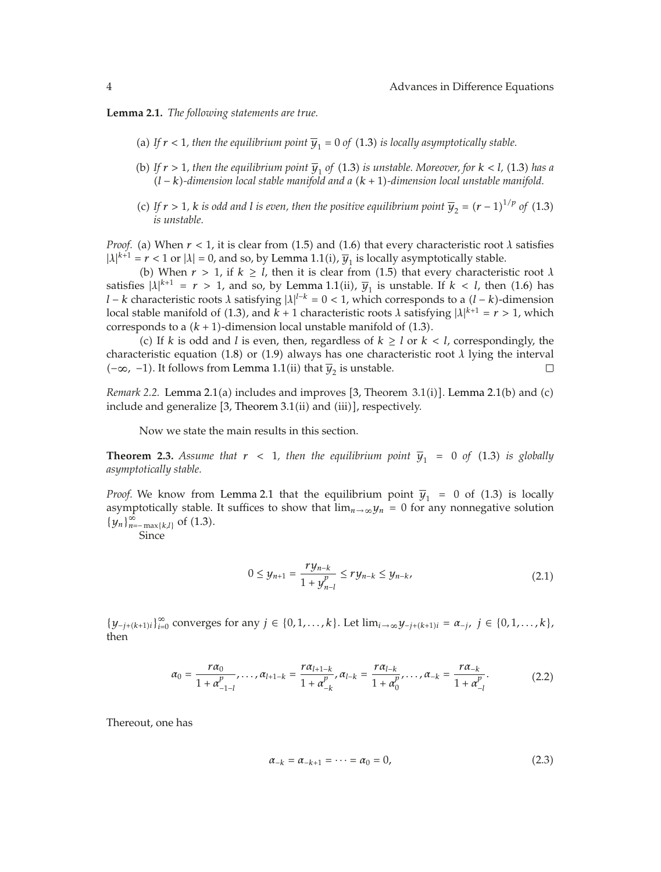**Lemma 2.1.** *The following statements are true.*

- (a) If  $r < 1$ , then the equilibrium point  $\overline{y}_1 = 0$  of (1.3) is locally asymptotically stable.
- (b) If  $r > 1$ , then the equilibrium point  $\overline{y}_1$  of (1.3) is unstable. Moreover, for  $k < l$ , (1.3) has a *l* <sup>−</sup> *k-dimension local stable manifold and a k* <sup>1</sup>*-dimension local unstable manifold.*
- (c) If  $r > 1$ ,  $k$  is odd and  $l$  is even, then the positive equilibrium point  $\overline{y}_2 = (r 1)^{1/p}$  of (1.3) is unstable. *is unstable.*

*Proof.* (a) When  $r < 1$ , it is clear from (1.5) and (1.6) that every characteristic root  $\lambda$  satisfies  $|\lambda|^{k+1} = r < 1$  or  $|\lambda| = 0$ , and so, by Lemma 1.1(i),  $\overline{y}_1$  is locally asymptotically stable.

(b) When  $r > 1$ , if  $k \geq l$ , then it is clear from (1.5) that every characteristic root  $\lambda$ satisfies  $|\lambda|^{k+1} = r > 1$ , and so, by Lemma 1.1(ii),  $\overline{y}_1$  is unstable. If  $k < l$ , then (1.6) has *l* − *k* characteristic roots *λ* satisfying  $|\lambda|^{l-k} = 0 < 1$ , which corresponds to a  $(l-k)$ -dimension local stable manifold of (1.3), and  $k+1$  characteristic roots *λ* satisfying  $|1|^{k+1} = r > 1$ , which local stable manifold of (1.3), and  $k + 1$  characteristic roots  $\lambda$  satisfying  $|\lambda|^{k+1} = r > 1$ , which corresponds to a  $(k + 1)$ -dimension local unstable manifold of  $(1.3)$ .

(c) If *k* is odd and *l* is even, then, regardless of  $k \geq l$  or  $k < l$ , correspondingly, the characteristic equation (1.8) or (1.9) always has one characteristic root  $\lambda$  lying the interval  $(-\infty, -1)$ . It follows from Lemma 1.1(ii) that  $\overline{v}_0$  is unstable.  $(-∞, -1)$ . It follows from Lemma 1.1(ii) that  $\overline{y}_2$  is unstable.

*Remark* 2.2. Lemma 2.1(a) includes and improves  $[3,$  Theorem  $3.1(i)$ . Lemma 2.1(b) and (c) include and generalize  $[3,$  Theorem  $3.1$ (ii) and (iii)], respectively.

Now we state the main results in this section.

**Theorem 2.3.** Assume that  $r < 1$ , then the equilibrium point  $\overline{y}_1 = 0$  of (1.3) is globally *asymptotically stable.*

*Proof.* We know from Lemma 2.1 that the equilibrium point  $\overline{y}_1 = 0$  of (1.3) is locally asymptotically stable. It suffices to show that  $\lim_{n\to\infty} y_n = 0$  for any nonnegative solution  ${y_n}_{n=-\max\{k,l\}}^{\infty}$  of (1.3).

Since

$$
0 \le y_{n+1} = \frac{ry_{n-k}}{1+y_{n-l}^p} \le ry_{n-k} \le y_{n-k},
$$
\n(2.1)

*{y*<sub>−*j*</sub>*k*(*k*+1)*i*</sub>}<sup>∞</sup> converges for any *j* ∈ {0*,* 1*,...,k*}. Let  $\lim_{i\to\infty}$ *y*<sub>−*j*+(*k*+1)*i*</sub> =  $\alpha_{-j}$ *, j* ∈ {0*,* 1*,...,k*}*,* then

$$
\alpha_0 = \frac{r\alpha_0}{1 + \alpha_{-1-l}^p}, \dots, \alpha_{l+1-k} = \frac{r\alpha_{l+1-k}}{1 + \alpha_{-k}^p}, \alpha_{l-k} = \frac{r\alpha_{l-k}}{1 + \alpha_0^p}, \dots, \alpha_{-k} = \frac{r\alpha_{-k}}{1 + \alpha_{-l}^p}.
$$
(2.2)

Thereout, one has

$$
\alpha_{-k} = \alpha_{-k+1} = \dots = \alpha_0 = 0, \tag{2.3}
$$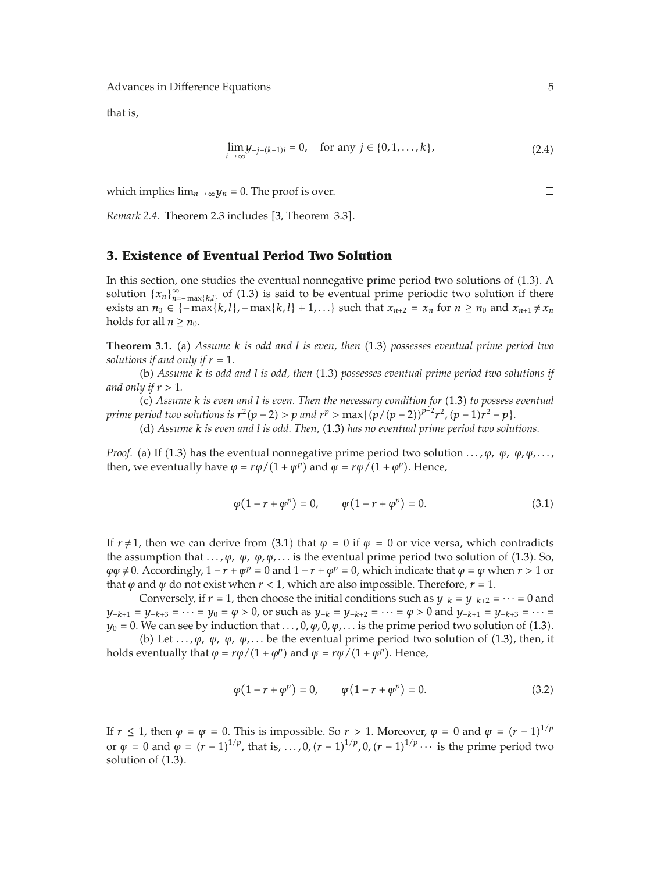that is,

$$
\lim_{i \to \infty} y_{-j+(k+1)i} = 0, \quad \text{for any } j \in \{0, 1, ..., k\},
$$
 (2.4)

which implies  $\lim_{n\to\infty} y_n = 0$ . The proof is over.

*Remark 2.4.* Theorem 2.3 includes [3, Theorem 3.3].

## **3. Existence of Eventual Period Two Solution**

In this section, one studies the eventual nonnegative prime period two solutions of 1.3. A solution  $\{x_n\}_{n=-\max\{k,l\}}^{\infty}$  of (1.3) is said to be eventual prime periodic two solution if there exists an *n*<sup>0</sup> ∈ { − max{*k,l*}*,* − max{*k,l*} + 1*,...*} such that  $x_{n+2} = x_n$  for  $n \ge n_0$  and  $x_{n+1} \ne x_n$ holds for all  $n \geq n_0$ .

**Theorem 3.1.** (a) Assume *k* is odd and *l* is even, then (1.3) possesses eventual prime period two *solutions if and only if*  $r = 1$ *.* 

b *Assume k is odd and l is odd, then* 1.3 *possesses eventual prime period two solutions if and only if r >* <sup>1</sup>*.*

c *Assume k is even and l is even. Then the necessary condition for* 1.3 *to possess eventual prime period two solutions is*  $r^2(p-2) > p$  *and*  $r^p > \max\{(p/(p-2))^{p-2}r^2, (p-1)r^2 - p\}$ .<br>(d) Assume k is gren and l is odd. Then (1.3) has no greatual prime period two solu

d *Assume k is even and l is odd. Then,* 1.3 *has no eventual prime period two solutions.*

*Proof.* (a) If (1.3) has the eventual nonnegative prime period two solution  $\ldots$ ,  $\varphi$ ,  $\psi$ ,  $\varphi$ ,  $\psi$ , ..., then, we eventually have  $\varphi = r\varphi/(1 + \psi^p)$  and  $\psi = r\psi/(1 + \varphi^p)$ . Hence,

$$
\varphi(1 - r + \varphi^p) = 0, \qquad \varphi(1 - r + \varphi^p) = 0.
$$
\n(3.1)

If  $r \neq 1$ , then we can derive from (3.1) that  $\varphi = 0$  if  $\psi = 0$  or vice versa, which contradicts the assumption that  $\ldots$ ,  $\varphi$ ,  $\psi$ ,  $\varphi$ ,  $\psi$ ,  $\ldots$  is the eventual prime period two solution of (1.3). So,  $\varphi \varphi \neq 0$ . Accordingly,  $1 - r + \varphi^p = 0$  and  $1 - r + \varphi^p = 0$ , which indicate that  $\varphi = \varphi$  when  $r > 1$  or that  $\varphi$  and  $\psi$  do not exist when  $r < 1$ , which are also impossible. Therefore,  $r = 1$ .

Conversely, if  $r = 1$ , then choose the initial conditions such as  $y_{-k} = y_{-k+2} = \cdots = 0$  and  $y_{-k+1} = y_{-k+3} = \cdots = y_0 = \varphi > 0$ , or such as  $y_{-k} = y_{-k+2} = \cdots = \varphi > 0$  and  $y_{-k+1} = y_{-k+3} = \cdots = y_{-k+2}$  $y_0 = 0$ . We can see by induction that  $\ldots$ , 0*,*  $\varphi$ , 0*,*  $\varphi$ ,  $\ldots$  is the prime period two solution of (1.3).

(b) Let  $\ldots$ ,  $\varphi$ ,  $\varphi$ ,  $\varphi$ ,  $\varphi$ , ... be the eventual prime period two solution of (1.3), then, it holds eventually that  $\varphi = r\varphi/(1 + \varphi^p)$  and  $\psi = r\psi/(1 + \psi^p)$ . Hence,

$$
\varphi(1 - r + \varphi^p) = 0, \qquad \varphi(1 - r + \varphi^p) = 0.
$$
\n(3.2)

If  $r \le 1$ , then  $\varphi = \varphi = 0$ . This is impossible. So  $r > 1$ . Moreover,  $\varphi = 0$  and  $\psi = (r-1)^{1/p}$ or *ψ* = 0 and *φ* =  $(r - 1)^{1/p}$ , that is, ..., 0,  $(r - 1)^{1/p}$ , 0,  $(r - 1)^{1/p}$  ··· is the prime period two solution of (1.3) solution of  $(1.3)$ .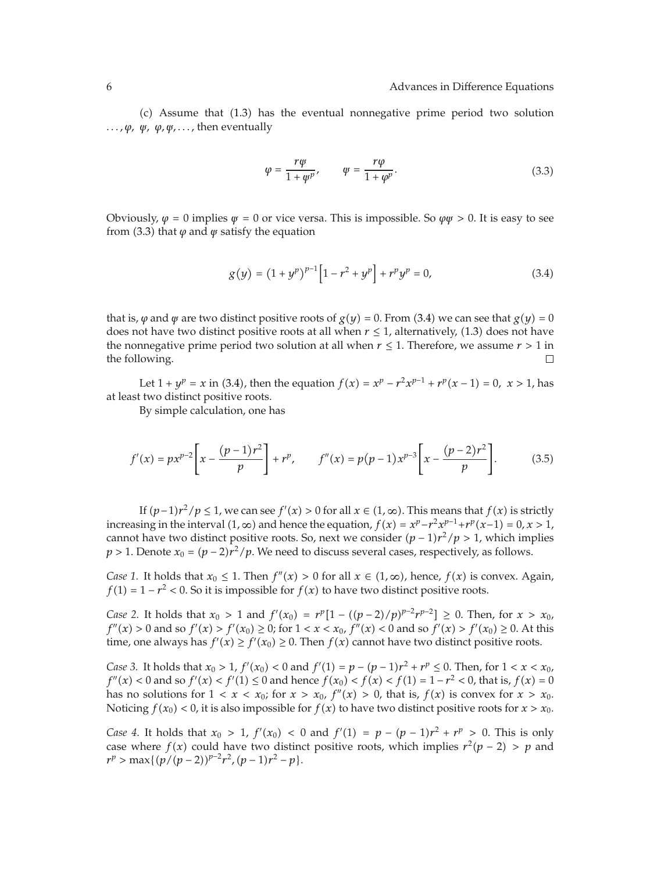$(c)$  Assume that  $(1.3)$  has the eventual nonnegative prime period two solution  $\ldots, \varphi, \psi, \varphi, \psi, \ldots$ , then eventually

$$
\varphi = \frac{r\psi}{1 + \psi^p}, \qquad \psi = \frac{r\varphi}{1 + \varphi^p}.
$$
\n(3.3)

Obviously,  $\varphi = 0$  implies  $\psi = 0$  or vice versa. This is impossible. So  $\varphi \psi > 0$ . It is easy to see from (3.3) that  $\varphi$  and  $\psi$  satisfy the equation

$$
g(y) = (1 + yp)p-1 [1 - r2 + yp] + rp yp = 0,
$$
 (3.4)

that is,  $\varphi$  and  $\psi$  are two distinct positive roots of  $g(y) = 0$ . From (3.4) we can see that  $g(y) = 0$ does not have two distinct positive roots at all when  $r \leq 1$ , alternatively, (1.3) does not have the nonnegative prime period two solution at all when *r*  $\leq$  1. Therefore, we assume *r* > 1 in the following. the following.

Let  $1 + y^p = x$  in (3.4), then the equation  $f(x) = x^p - r^2 x^{p-1} + r^p(x-1) = 0$ ,  $x > 1$ , has at least two distinct positive roots.

By simple calculation, one has

$$
f'(x) = px^{p-2} \left[ x - \frac{(p-1)r^2}{p} \right] + r^p, \qquad f''(x) = p(p-1)x^{p-3} \left[ x - \frac{(p-2)r^2}{p} \right]. \tag{3.5}
$$

If  $(p-1)r^2/p \le 1$ , we can see  $f'(x) > 0$  for all  $x \in (1, \infty)$ . This means that  $f(x)$  is strictly increasing in the interval  $(1, ∞)$  and hence the equation,  $f(x) = x^p - r^2x^{p-1} + r^p(x-1) = 0, x > 1$ , cannot have two distinct positive roots. So, next we consider *p* <sup>−</sup> <sup>1</sup>*r*2*/p >* 1, which implies *p* > 1. Denote  $x_0 = (p - 2)r^2/p$ . We need to discuss several cases, respectively, as follows.

*Case 1.* It holds that  $x_0 \leq 1$ . Then  $f''(x) > 0$  for all  $x \in (1, \infty)$ , hence,  $f(x)$  is convex. Again, *f*(1) =  $1 - r^2 < 0$ . So it is impossible for *f*(*x*) to have two distinct positive roots.

*Case 2.* It holds that  $x_0 > 1$  and  $f'(x_0) = r^p[1 - ((p-2)/p)^{p-2}r^{p-2}] \ge 0$ . Then, for  $x > x_0$ ,  $f'(x) > 0$  and so  $f'(x) > 0$  and so  $f'(x) > 0$ , At this  $f''(x) > 0$  and so  $f'(x) > f'(x_0) \ge 0$ ; for  $1 < x < x_0$ ,  $f''(x) < 0$  and so  $f'(x) > f'(x_0) \ge 0$ . At this time, one always has  $f'(x) \ge f'(x_0) \ge 0$ . Then  $f(x)$  cannot have two distinct positive roots.

*Case 3.* It holds that  $x_0 > 1$ ,  $f'(x_0) < 0$  and  $f'(1) = p - (p - 1)r^2 + r^p \le 0$ . Then, for  $1 < x < x_0$ ,  $f''(x) < 0$  and so  $f'(x) < f'(1) < 0$  and honce  $f(x) < f(x) < f(1) - 1 - r^2 < 0$ , that is  $f(x) = 0$  $f''(x) < 0$  and so  $f'(x) < f'(1) \le 0$  and hence  $f(x_0) < f(x) < f(1) = 1 - r^2 < 0$ , that is,  $f(x) = 0$  has no solutions for  $1 < x < x_0$ ; for  $x > x_0$ ,  $f''(x) > 0$ , that is,  $f(x)$  is convex for  $x > x_0$ . has no solutions for  $1 < x < x_0$ ; for  $x > x_0$ ,  $f''(x) > 0$ , that is,  $f(x)$  is convex for  $x > x_0$ . Noticing  $f(x_0) < 0$ , it is also impossible for  $f(x)$  to have two distinct positive roots for  $x > x_0$ .

*Case 4.* It holds that  $x_0 > 1$ ,  $f'(x_0) < 0$  and  $f'(1) = p - (p - 1)r^2 + r^p > 0$ . This is only case where  $f(x)$  could have two distinct positive roots which implies  $r^2(n-2) > p$  and case where  $f(x)$  could have two distinct positive roots, which implies  $r^2(p-2) > p$  and  $r^p$  > max{ $(p/(p-2))^{p-2}r^2$ ,  $(p-1)r^2 - p$ }.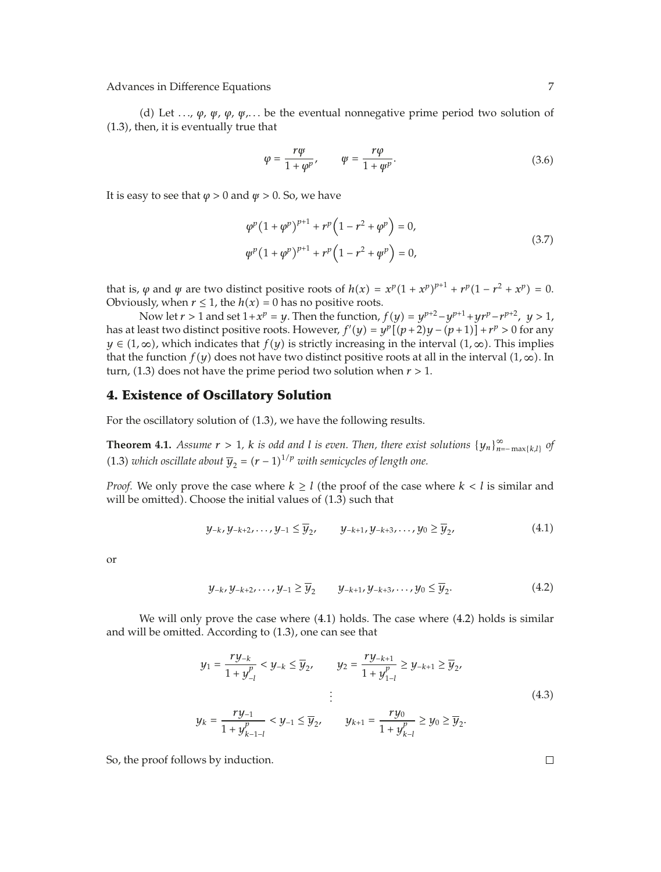d Let *...*, *ϕ*, *ψ*, *ϕ*, *ψ*,*...* be the eventual nonnegative prime period two solution of 1.3, then, it is eventually true that

$$
\varphi = \frac{r\psi}{1 + \varphi^p}, \qquad \psi = \frac{r\varphi}{1 + \varphi^p}.
$$
\n(3.6)

It is easy to see that  $\varphi > 0$  and  $\psi > 0$ . So, we have

$$
\varphi^p (1 + \varphi^p)^{p+1} + r^p (1 - r^2 + \varphi^p) = 0,
$$
  

$$
\varphi^p (1 + \varphi^p)^{p+1} + r^p (1 - r^2 + \varphi^p) = 0,
$$
 (3.7)

that is,  $\varphi$  and  $\psi$  are two distinct positive roots of  $h(x) = x^p(1 + x^p)^{p+1} + r^p(1 - r^2 + x^p) = 0$ .<br>Obviously when  $r < 1$  the  $h(x) = 0$  bes no positive roots Obviously, when  $r \leq 1$ , the  $h(x) = 0$  has no positive roots.

Now let  $r > 1$  and set  $1 + x^p = y$ . Then the function,  $f(y) = y^{p+2} - y^{p+1} + yr^p - r^{p+2}$ ,  $y > 1$ , has at least two distinct positive roots. However,  $f'(y) = y^p[(p+2)y - (p+1)] + r^p > 0$  for any<br>*y*  $\in (1, \infty)$ , which indicates that  $f(x)$  is strictly increasing in the interval  $(1, \infty)$ . This implies *y* ∈ (1, ∞), which indicates that *f*(*y*) is strictly increasing in the interval (1, ∞). This implies that the function  $f(y)$  does not have two distinct positive roots at all in the interval  $(1, \infty)$ . In turn, (1.3) does not have the prime period two solution when  $r > 1$ .

#### **4. Existence of Oscillatory Solution**

For the oscillatory solution of  $(1.3)$ , we have the following results.

**Theorem 4.1.** *Assume*  $r > 1$ , *k is odd and l is even. Then, there exist solutions*  $\{y_n\}_{n=-\max\{k,l\}}^{\infty}$  *of*  $(3, 2)$  *l*  $i, l = 1, \ldots, l = 1, \ldots, l = 1, \ldots, l = 1, \ldots, l = 1, \ldots, l = 1, \ldots, l = 1, \ldots, l = 1, \ldots, l = 1, \ldots, l =$ (1.3) *which oscillate about*  $\overline{y}_2 = (r - 1)^{1/p}$  *with semicycles of length one.* 

*Proof.* We only prove the case where  $k \geq l$  (the proof of the case where  $k < l$  is similar and will be omitted). Choose the initial values of  $(1.3)$  such that

$$
y_{-k}, y_{-k+2}, \dots, y_{-1} \le \overline{y}_2, \qquad y_{-k+1}, y_{-k+3}, \dots, y_0 \ge \overline{y}_2, \tag{4.1}
$$

or

$$
y_{-k}, y_{-k+2}, \dots, y_{-1} \ge \overline{y}_2 \qquad y_{-k+1}, y_{-k+3}, \dots, y_0 \le \overline{y}_2. \tag{4.2}
$$

We will only prove the case where  $(4.1)$  holds. The case where  $(4.2)$  holds is similar and will be omitted. According to  $(1.3)$ , one can see that

$$
y_1 = \frac{ry_{-k}}{1 + y_{-l}^p} < y_{-k} \le \overline{y}_2, \qquad y_2 = \frac{ry_{-k+1}}{1 + y_{1-l}^p} \ge y_{-k+1} \ge \overline{y}_2, \\
y_k = \frac{ry_{-1}}{1 + y_{k-1-l}^p} < y_{-1} \le \overline{y}_2, \qquad y_{k+1} = \frac{ry_0}{1 + y_{k-l}^p} \ge y_0 \ge \overline{y}_2. \tag{4.3}
$$

So, the proof follows by induction.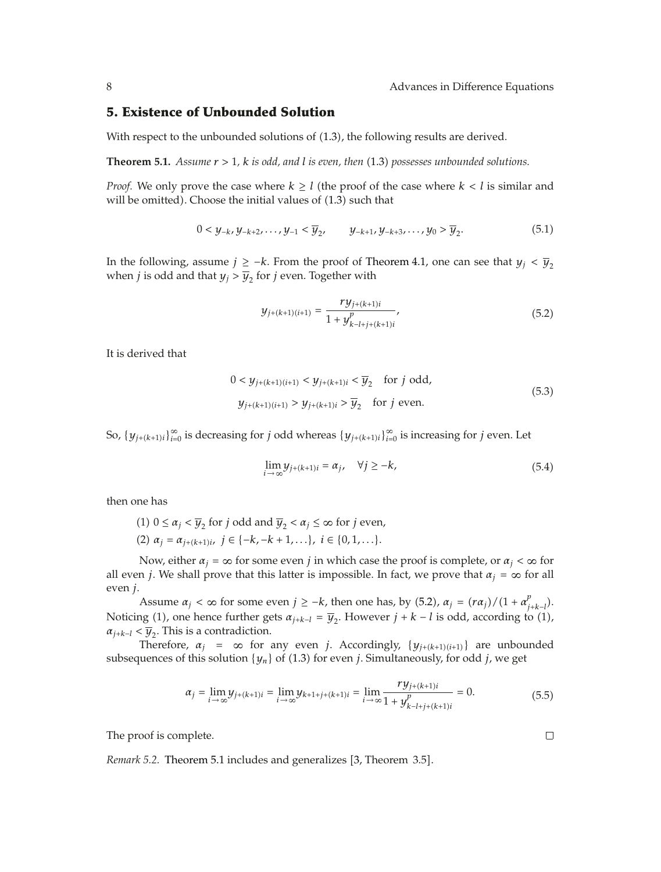## **5. Existence of Unbounded Solution**

With respect to the unbounded solutions of  $(1.3)$ , the following results are derived.

**Theorem 5.1.** *Assume*  $r > 1$ *, k is odd, and l is even, then* (1.3) possesses unbounded solutions.

*Proof.* We only prove the case where  $k \geq l$  (the proof of the case where  $k < l$  is similar and will be omitted). Choose the initial values of  $(1.3)$  such that

$$
0 < y_{-k}, y_{-k+2}, \dots, y_{-1} < \overline{y}_{2}, \qquad y_{-k+1}, y_{-k+3}, \dots, y_0 > \overline{y}_2. \tag{5.1}
$$

In the following, assume *j* ≥ −*k*. From the proof of Theorem 4.1, one can see that  $y_j < \overline{y}_2$ when *j* is odd and that  $y_j > \overline{y}_2$  for *j* even. Together with

$$
y_{j+(k+1)(i+1)} = \frac{ry_{j+(k+1)i}}{1+y_{k-l+j+(k+1)i}^p},\tag{5.2}
$$

It is derived that

$$
0 < y_{j+(k+1)(i+1)} < y_{j+(k+1)i} < \overline{y}_2 \quad \text{for } j \text{ odd},
$$
\n
$$
y_{j+(k+1)(i+1)} > y_{j+(k+1)i} > \overline{y}_2 \quad \text{for } j \text{ even}.
$$
\n
$$
(5.3)
$$

So,  $\{y_{j+(k+1)i}\}_{i=0}^{\infty}$  is decreasing for *j* odd whereas  $\{y_{j+(k+1)i}\}_{i=0}^{\infty}$  is increasing for *j* even. Let

$$
\lim_{i \to \infty} y_{j+(k+1)i} = \alpha_j, \quad \forall j \ge -k,
$$
\n(5.4)

then one has

- (1)  $0 \le \alpha_j < \overline{y}_2$  for *j* odd and  $\overline{y}_2 < \alpha_j \le \infty$  for *j* even,
- (2)  $\alpha_j = \alpha_{j+(k+1)i}, \ j \in \{-k, -k+1, \ldots\}, \ i \in \{0, 1, \ldots\}.$

Now, either  $\alpha_i = \infty$  for some even *j* in which case the proof is complete, or  $\alpha_i < \infty$  for all even *j*. We shall prove that this latter is impossible. In fact, we prove that  $\alpha_j = \infty$  for all even *j*.

Assume  $\alpha_j < \infty$  for some even  $j \ge -k$ , then one has, by  $(5.2)$ ,  $\alpha_j = (r\alpha_j)/(1 + \alpha_{j+k-l}^{\mu})$ . *jk*−*l* Noticing (1), one hence further gets  $\alpha_{j+k-l} = \overline{y}_2$ . However  $j + k - l$  is odd, according to (1),  $\alpha_{j,k-l} \in \overline{y}_j$ . This is a contradiction  $\alpha_{j+k-l}$  <  $\overline{y}_2$ . This is a contradiction.

Therefore,  $\alpha_j = \infty$  for any even *j*. Accordingly,  $\{y_{j+(k+1)(i+1)}\}$  are unbounded subsequences of this solution  $\{y_n\}$  of (1.3) for even *j*. Simultaneously, for odd *j*, we get

$$
\alpha_j = \lim_{i \to \infty} y_{j+(k+1)i} = \lim_{i \to \infty} y_{k+1+j+(k+1)i} = \lim_{i \to \infty} \frac{ry_{j+(k+1)i}}{1+y_{k-l+j+(k+1)i}^p} = 0.
$$
\n(5.5)

The proof is complete.

*Remark 5.2.* Theorem 5.1 includes and generalizes [3, Theorem 3.5].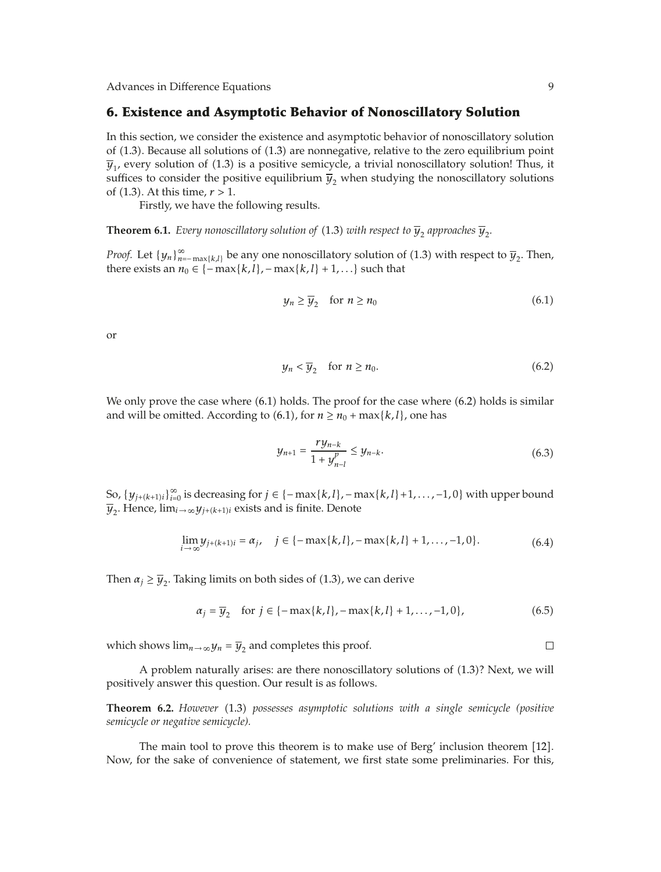## **6. Existence and Asymptotic Behavior of Nonoscillatory Solution**

In this section, we consider the existence and asymptotic behavior of nonoscillatory solution of 1.3. Because all solutions of 1.3 are nonnegative, relative to the zero equilibrium point  $\overline{y}_1$ , every solution of (1.3) is a positive semicycle, a trivial nonoscillatory solution! Thus, it suffices to consider the positive equilibrium  $\overline{y}_2$  when studying the nonoscillatory solutions of 1.3. At this time, *r >* 1.

Firstly, we have the following results.

**Theorem 6.1.** *Every nonoscillatory solution of* (1.3) *with respect to*  $\overline{y}_2$  *approaches*  $\overline{y}_2$ *.* 

*Proof.* Let  $\{y_n\}_{n=-\max\{k,l\}}^{\infty}$  be any one nonoscillatory solution of (1.3) with respect to  $\overline{y}_2$ . Then, there exists an  $y_2 \in \{-\max\{k,l\} - \max\{k,l\} + 1\}$ , such that there exists an  $n_0 \in \{-\max\{k, l\}, -\max\{k, l\} + 1, \ldots\}$  such that

$$
y_n \ge \overline{y}_2 \quad \text{for } n \ge n_0 \tag{6.1}
$$

or

$$
y_n < \overline{y}_2 \quad \text{for } n \ge n_0. \tag{6.2}
$$

We only prove the case where  $(6.1)$  holds. The proof for the case where  $(6.2)$  holds is similar and will be omitted. According to (6.1), for  $n \ge n_0 + \max\{k, l\}$ , one has

$$
y_{n+1} = \frac{ry_{n-k}}{1 + y_{n-l}^p} \le y_{n-k}.\tag{6.3}
$$

So,  $\{y_{j+(k+1)i}\}_{i=0}^{\infty}$  is decreasing for  $j \in \{-\max\{k,l\}, -\max\{k,l\}+1,\ldots,-1,0\}$  with upper bound  $\overline{u}$ . Hence,  $\lim_{k \to \infty} u_k g_k$  are exists and is finite. Denote  $\overline{y}_2$ . Hence,  $\lim_{i\to\infty} y_{j+(k+1)i}$  exists and is finite. Denote

$$
\lim_{i \to \infty} y_{j+(k+1)i} = \alpha_j, \quad j \in \{-\max\{k, l\}, -\max\{k, l\} + 1, \dots, -1, 0\}.
$$
 (6.4)

Then  $\alpha_j \geq \overline{y}_2$ . Taking limits on both sides of (1.3), we can derive

$$
\alpha_j = \overline{y}_2 \quad \text{for } j \in \{-\max\{k, l\}, -\max\{k, l\} + 1, \dots, -1, 0\},\tag{6.5}
$$

which shows  $\lim_{n\to\infty} y_n = \overline{y}_2$  and completes this proof.

A problem naturally arises: are there nonoscillatory solutions of 1.3? Next, we will positively answer this question. Our result is as follows.

**Theorem 6.2.** *However* 1.3 *possesses asymptotic solutions with a single semicycle (positive semicycle or negative semicycle).*

The main tool to prove this theorem is to make use of Berg' inclusion theorem [12]. Now, for the sake of convenience of statement, we first state some preliminaries. For this,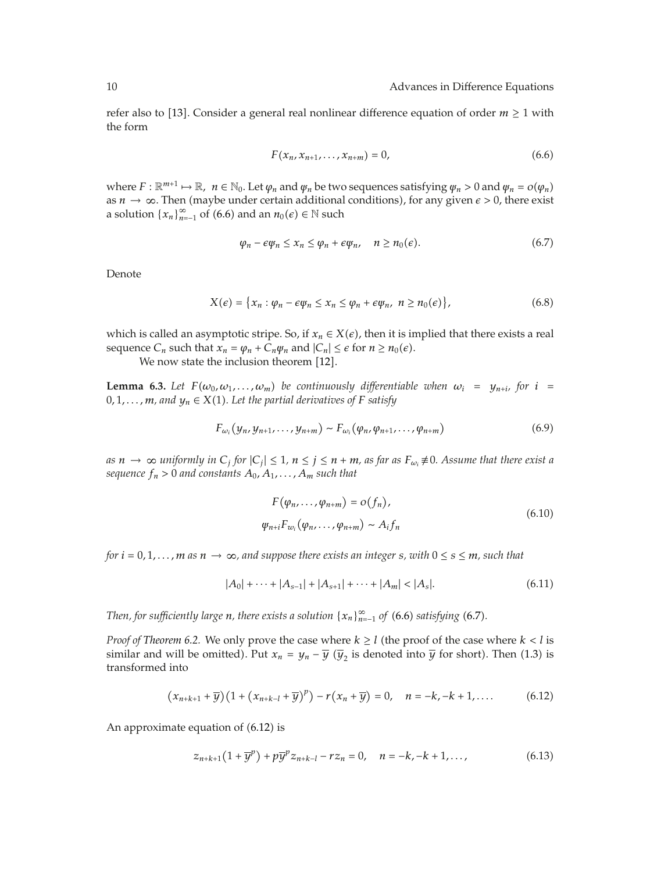refer also to [13]. Consider a general real nonlinear difference equation of order  $m \geq 1$  with the form

$$
F(x_n, x_{n+1}, \dots, x_{n+m}) = 0,
$$
\n(6.6)

where  $F : \mathbb{R}^{m+1} \mapsto \mathbb{R}$ ,  $n \in \mathbb{N}_0$ . Let  $\varphi_n$  and  $\varphi_n$  be two sequences satisfying  $\varphi_n > 0$  and  $\varphi_n = o(\varphi_n)$ as  $n \to \infty$ . Then (maybe under certain additional conditions), for any given  $\epsilon > 0$ , there exist a solution  $\{x_n\}_{n=-1}^{\infty}$  of  $(6.6)$  and an  $n_0(\epsilon) \in \mathbb{N}$  such

$$
\varphi_n - \epsilon \varphi_n \le x_n \le \varphi_n + \epsilon \varphi_n, \quad n \ge n_0(\epsilon).
$$
 (6.7)

Denote

$$
X(\epsilon) = \{x_n : \varphi_n - \epsilon \varphi_n \le x_n \le \varphi_n + \epsilon \varphi_n, \ n \ge n_0(\epsilon)\},\tag{6.8}
$$

which is called an asymptotic stripe. So, if  $x_n \in X(\epsilon)$ , then it is implied that there exists a real sequence  $C_n$  such that  $x_n = \varphi_n + C_n \varphi_n$  and  $|C_n| \leq \epsilon$  for  $n \geq n_0(\epsilon)$ .

We now state the inclusion theorem [12].

**Lemma 6.3.** Let  $F(\omega_0, \omega_1, \dots, \omega_m)$  be continuously differentiable when  $\omega_i = y_{n+i}$ , for  $i =$ 0, 1, ...,  $m$ , and  $y_n \in X(1)$ . Let the partial derivatives of F satisfy

$$
F_{\omega_i}(y_n, y_{n+1}, \dots, y_{n+m}) \sim F_{\omega_i}(\varphi_n, \varphi_{n+1}, \dots, \varphi_{n+m})
$$
\n
$$
(6.9)
$$

*as*  $n \to \infty$  *uniformly in*  $C_j$  *for*  $|C_j| \leq 1$ ,  $n \leq j \leq n + m$ , as far as  $F_{\omega_i} \neq 0$ . Assume that there exist a *sequence*  $f_n > 0$  *and constants*  $A_0, A_1, \ldots, A_m$  *such that* 

$$
F(\varphi_n, \dots, \varphi_{n+m}) = o(f_n),
$$
  
\n
$$
\varphi_{n+i} F_{w_i}(\varphi_n, \dots, \varphi_{n+m}) \sim A_i f_n
$$
\n(6.10)

*for*  $i = 0, 1, \ldots, m$  *as*  $n \to \infty$ *, and suppose there exists an integer s, with*  $0 \le s \le m$ *, such that* 

$$
|A_0| + \dots + |A_{s-1}| + |A_{s+1}| + \dots + |A_m| < |A_s|.\tag{6.11}
$$

*Then, for sufficiently large*  $n$ *, there exists a solution*  $\{x_n\}_{n=1}^{\infty}$  *of (6.6) satisfying (6.7).* 

*Proof of Theorem 6.2.* We only prove the case where  $k \geq l$  (the proof of the case where  $k < l$  is similar and will be omitted). Put  $x_n = y_n - \overline{y}$  ( $\overline{y}_2$  is denoted into  $\overline{y}$  for short). Then (1.3) is transformed into

$$
(x_{n+k+1}+\overline{y})(1+(x_{n+k-l}+\overline{y})^p) - r(x_n+\overline{y}) = 0, \quad n = -k, -k+1, .... \tag{6.12}
$$

An approximate equation of  $(6.12)$  is

$$
z_{n+k+1}(1+\overline{y}^p) + p\overline{y}^p z_{n+k-l} - r z_n = 0, \quad n = -k, -k+1, \dots,
$$
 (6.13)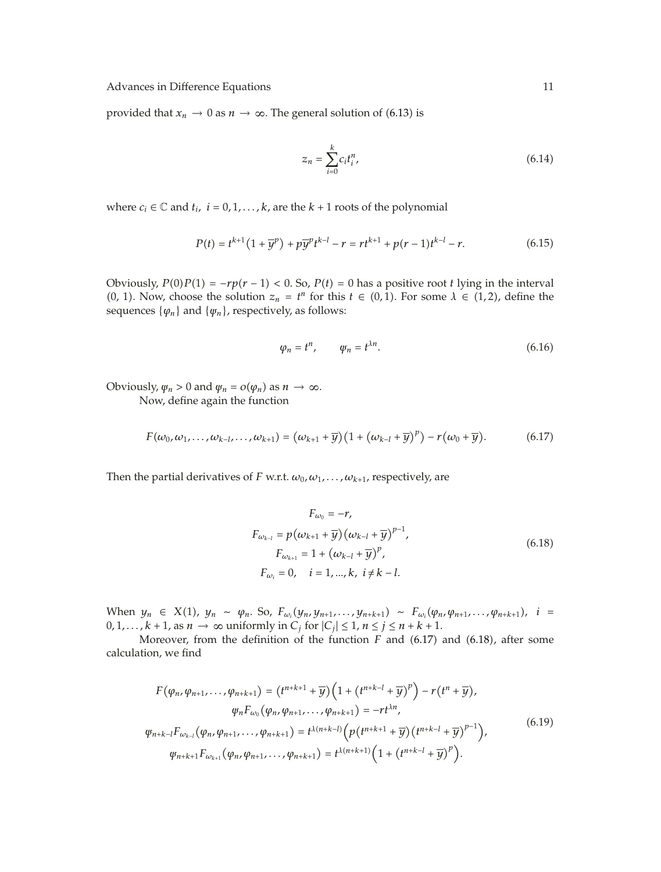provided that  $x_n \to 0$  as  $n \to \infty$ . The general solution of (6.13) is

$$
z_n = \sum_{i=0}^{k} c_i t_i^n,
$$
\n(6.14)

where  $c_i \in \mathbb{C}$  and  $t_i$ ,  $i = 0, 1, \ldots, k$ , are the  $k + 1$  roots of the polynomial

$$
P(t) = t^{k+1} \left( 1 + \overline{y}^p \right) + p \overline{y}^p t^{k-l} - r = r t^{k+1} + p(r-1) t^{k-l} - r. \tag{6.15}
$$

Obviously,  $P(0)P(1) = -rp(r-1) < 0$ . So,  $P(t) = 0$  has a positive root *t* lying in the interval  $(0, 1)$ . Now, choose the solution  $z_n = t^n$  for this  $t \in (0, 1)$ . For some  $\lambda \in (1, 2)$ , define the sequences  $\{a_n\}$  and  $\{w_n\}$  respectively as follows: sequences  $\{\varphi_n\}$  and  $\{\psi_n\}$ , respectively, as follows:

$$
\varphi_n = t^n, \qquad \varphi_n = t^{\lambda n}.\tag{6.16}
$$

Obviously,  $\psi_n > 0$  and  $\psi_n = o(\psi_n)$  as  $n \to \infty$ . Now, define again the function

$$
F(\omega_0, \omega_1, \ldots, \omega_{k-l}, \ldots, \omega_{k+1}) = (\omega_{k+1} + \overline{y})(1 + (\omega_{k-l} + \overline{y})^p) - r(\omega_0 + \overline{y}). \tag{6.17}
$$

Then the partial derivatives of *F* w.r.t.  $\omega_0$ ,  $\omega_1$ , ...,  $\omega_{k+1}$ , respectively, are

$$
F_{\omega_0} = -r,
$$
  
\n
$$
F_{\omega_{k-l}} = p(\omega_{k+1} + \overline{y})(\omega_{k-l} + \overline{y})^{p-1},
$$
  
\n
$$
F_{\omega_{k+1}} = 1 + (\omega_{k-l} + \overline{y})^p,
$$
  
\n
$$
F_{\omega_i} = 0, \quad i = 1, ..., k, \quad i \neq k-l.
$$
\n(6.18)

When *y<sub>n</sub>* ∈ *X*(1), *y<sub>n</sub>* ∼ *ϕ<sub>n</sub>*. So, *F<sub>ωi</sub>*(*y<sub>n</sub>*, *y<sub>n+1</sub>*,...,*y<sub>n+k+1</sub>*) ∼ *F<sub>ωi</sub>*(*ϕ<sub>n</sub>*, *ϕ<sub>n+1</sub>*,...,*ϕ*<sub>*n+k+1*</sub>), *i* = 0.1 *k* + 1 as *n* → ∞ uniformly in C, for |C,| < 1 *n* < *i* < *n* + *k* + 1 0, 1, ...,  $k + 1$ , as  $n \to \infty$  uniformly in  $C_j$  for  $|C_j| \leq 1$ ,  $n \leq j \leq n + k + 1$ .

Moreover, from the definition of the function  $F$  and  $(6.17)$  and  $(6.18)$ , after some calculation, we find

$$
F(\varphi_n, \varphi_{n+1}, \dots, \varphi_{n+k+1}) = (t^{n+k+1} + \overline{y}) \Big( 1 + (t^{n+k-1} + \overline{y})^p \Big) - r(t^n + \overline{y}),
$$
  
\n
$$
\varphi_n F_{\omega_0}(\varphi_n, \varphi_{n+1}, \dots, \varphi_{n+k+1}) = -rt^{\lambda n},
$$
  
\n
$$
\varphi_{n+k-l} F_{\omega_{k-l}}(\varphi_n, \varphi_{n+1}, \dots, \varphi_{n+k+1}) = t^{\lambda(n+k-l)} \Big( p(t^{n+k+1} + \overline{y}) (t^{n+k-l} + \overline{y})^{p-1} \Big),
$$
  
\n
$$
\varphi_{n+k+1} F_{\omega_{k+1}}(\varphi_n, \varphi_{n+1}, \dots, \varphi_{n+k+1}) = t^{\lambda(n+k+1)} \Big( 1 + (t^{n+k-l} + \overline{y})^p \Big).
$$
  
\n(6.19)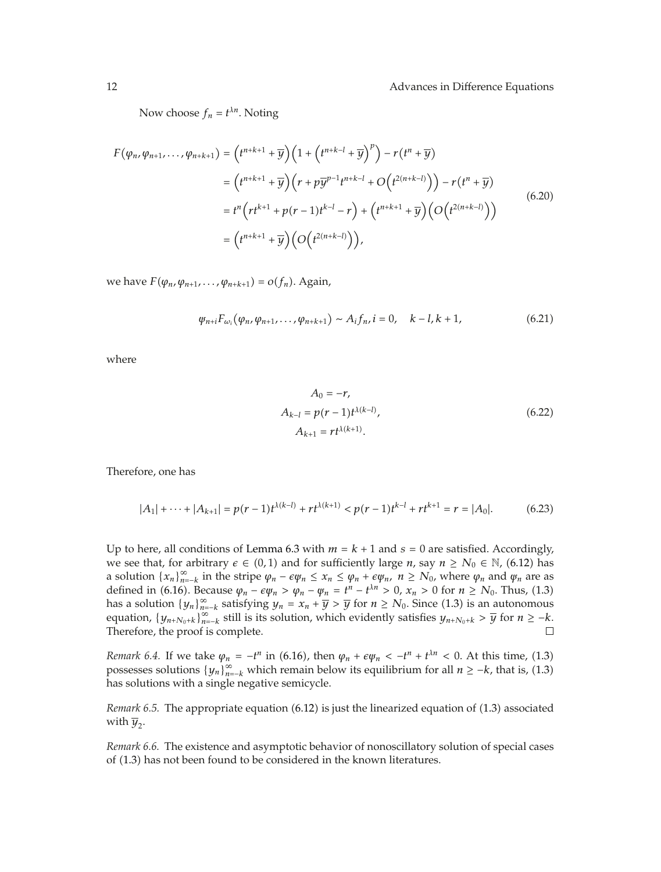Now choose  $f_n = t^{\lambda n}$ . Noting

$$
F(\varphi_n, \varphi_{n+1}, \dots, \varphi_{n+k+1}) = (t^{n+k+1} + \overline{y})(1 + (t^{n+k-1} + \overline{y})^p) - r(t^n + \overline{y})
$$
  
\n
$$
= (t^{n+k+1} + \overline{y})(r + p\overline{y}^{p-1}t^{n+k-1} + O(t^{2(n+k-1)})) - r(t^n + \overline{y})
$$
  
\n
$$
= t^n (rt^{k+1} + p(r - 1)t^{k-1} - r) + (t^{n+k+1} + \overline{y})(O(t^{2(n+k-1)}))
$$
  
\n
$$
= (t^{n+k+1} + \overline{y})(O(t^{2(n+k-1)})),
$$
\n(6.20)

we have  $F(\varphi_n, \varphi_{n+1}, \ldots, \varphi_{n+k+1}) = o(f_n)$ . Again,

$$
\psi_{n+i} F_{\omega_i}(\varphi_n, \varphi_{n+1}, \dots, \varphi_{n+k+1}) \sim A_i f_n, i = 0, \quad k - l, k + 1,
$$
\n(6.21)

where

$$
A_0 = -r,
$$
  
\n
$$
A_{k-l} = p(r-1)t^{\lambda(k-l)},
$$
  
\n
$$
A_{k+1} = rt^{\lambda(k+1)}.
$$
\n(6.22)

Therefore, one has

$$
|A_1| + \cdots + |A_{k+1}| = p(r-1)t^{\lambda(k-l)} + rt^{\lambda(k+1)} < p(r-1)t^{k-l} + rt^{k+1} = r = |A_0|.\tag{6.23}
$$

Up to here, all conditions of Lemma 6.3 with  $m = k + 1$  and  $s = 0$  are satisfied. Accordingly, we see that, for arbitrary  $\epsilon \in (0,1)$  and for sufficiently large *n*, say  $n \ge N_0 \in \mathbb{N}$ , (6.12) has a solution  $\{x_n\}_{n=k}^{\infty}$  in the stripe  $\varphi_n - \varepsilon \varphi_n \leq x_n \leq \varphi_n + \varepsilon \varphi_n$ ,  $n \geq N_0$ , where  $\varphi_n$  and  $\varphi_n$  are as defined in (6.16). Because  $\varphi_n - \varepsilon \varphi_n > \varphi_n - \varphi_n = t^n - t^{\lambda n} > 0$ ,  $x_n > 0$  for  $n \ge N_0$ . Thus, (1.3) *<sup>n</sup>* <sup>−</sup> *t* has a solution  $\{y_n\}_{n=-k}^{\infty}$  satisfying  $y_n = x_n + \overline{y} > \overline{y}$  for  $n \ge N_0$ . Since (1.3) is an autonomous equation  $\{y_n\}_{n=-k}^{\infty}$  still is its solution which ovidently satisfies  $y_n \ge \overline{y}$  for  $n \ge -k$ equation,  $\{y_{n+N_0+k}\}_{n=-k}^{\infty}$  still is its solution, which evidently satisfies  $y_{n+N_0+k} > \overline{y}$  for  $n \geq -k$ .<br>Therefore, the proof is complete Therefore, the proof is complete.

*Remark 6.4.* If we take  $\varphi_n = -t^n$  in (6.16), then  $\varphi_n + \varepsilon \varphi_n < -t^n + t^{\lambda n} < 0$ . At this time, (1.3)<br>recesses solutions  $\{u_n\}_{n=0}^{\infty}$  which remain below its equilibrium for all  $n > k$  that is (1.3) possesses solutions  $\{y_n\}_{n=-k}^{\infty}$  which remain below its equilibrium for all  $n \geq -k$ , that is, (1.3) has solutions with a single negative semicycle.

*Remark 6.5.* The appropriate equation (6.12) is just the linearized equation of (1.3) associated with  $\overline{y}_2$ .

*Remark 6.6.* The existence and asymptotic behavior of nonoscillatory solution of special cases of 1.3 has not been found to be considered in the known literatures.